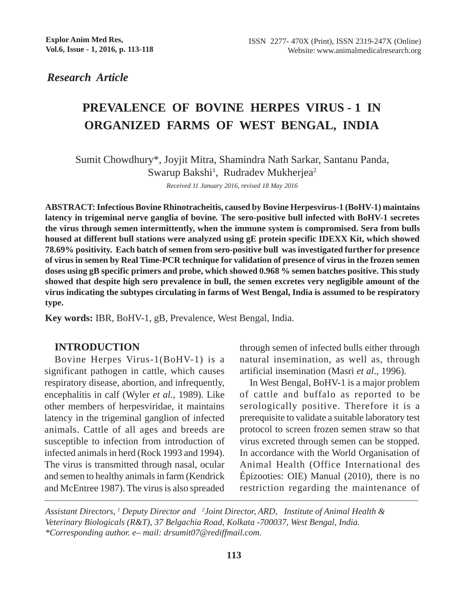*Research Article*

# **PREVALENCE OF BOVINE HERPES VIRUS - 1 IN ORGANIZED FARMS OF WEST BENGAL, INDIA**

Sumit Chowdhury\*, Joyjit Mitra, Shamindra Nath Sarkar, Santanu Panda, Swarup Bakshi<sup>1</sup>, Rudradev Mukherjea<sup>2</sup>

*Received 11 January 2016, revised 18 May 2016*

**ABSTRACT: Infectious Bovine Rhinotracheitis, caused by Bovine Herpesvirus-1 (BoHV-1) maintains latency in trigeminal nerve ganglia of bovine***.* **The sero-positive bull infected with BoHV-1 secretes the virus through semen intermittently, when the immune system is compromised. Sera from bulls housed at different bull stations were analyzed using gE protein specific IDEXX Kit, which showed 78.69% positivity. Each batch of semen from sero-positive bull was investigated further for presence of virus in semen by Real Time-PCR technique for validation of presence of virus in the frozen semen doses using gB specific primers and probe, which showed 0.968 % semen batches positive. This study showed that despite high sero prevalence in bull, the semen excretes very negligible amount of the virus indicating the subtypes circulating in farms of West Bengal, India is assumed to be respiratory type.**

**Key words:** IBR, BoHV-1, gB, Prevalence, West Bengal, India.

#### **INTRODUCTION**

Bovine Herpes Virus-1(BoHV-1) is a significant pathogen in cattle, which causes respiratory disease, abortion, and infrequently, encephalitis in calf (Wyler *et al.,* 1989). Like other members of herpesviridae, it maintains latency in the trigeminal ganglion of infected animals. Cattle of all ages and breeds are susceptible to infection from introduction of infected animals in herd (Rock 1993 and 1994). The virus is transmitted through nasal, ocular and semen to healthy animals in farm (Kendrick and McEntree 1987). The virus is also spreaded

through semen of infected bulls either through natural insemination, as well as, through artificial insemination (Masri *et al*., 1996).

In West Bengal, BoHV-1 is a major problem of cattle and buffalo as reported to be serologically positive. Therefore it is a prerequisite to validate a suitable laboratory test protocol to screen frozen semen straw so that virus excreted through semen can be stopped. In accordance with the World Organisation of Animal Health (Office International des Épizooties: OIE) Manual (2010), there is no restriction regarding the maintenance of

*Assistant Directors, 1 Deputy Director and 2 Joint Director, ARD, Institute of Animal Health & Veterinary Biologicals (R&T), 37 Belgachia Road, Kolkata -700037, West Bengal, India. \*Corresponding author. e– mail: drsumit07@rediffmail.com.*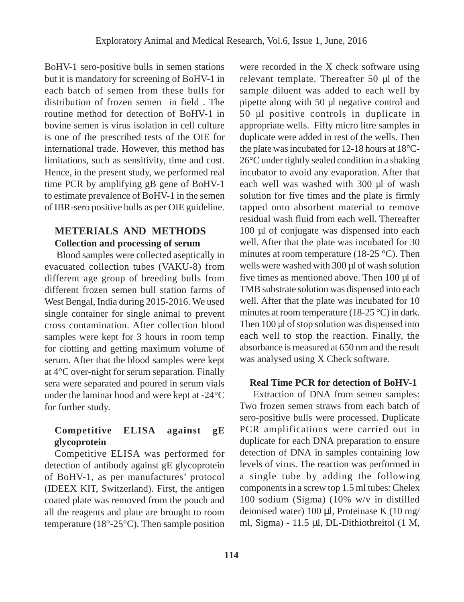BoHV-1 sero-positive bulls in semen stations but it is mandatory for screening of BoHV-1 in each batch of semen from these bulls for distribution of frozen semen in field . The routine method for detection of BoHV-1 in bovine semen is virus isolation in cell culture is one of the prescribed tests of the OIE for international trade. However, this method has limitations, such as sensitivity, time and cost. Hence, in the present study, we performed real time PCR by amplifying gB gene of BoHV-1 to estimate prevalence of BoHV-1 in the semen of IBR-sero positive bulls as per OIE guideline.

## **METERIALS AND METHODS Collection and processing of serum**

 Blood samples were collected aseptically in evacuated collection tubes (VAKU-8) from different age group of breeding bulls from different frozen semen bull station farms of West Bengal, India during 2015-2016. We used single container for single animal to prevent cross contamination. After collection blood samples were kept for 3 hours in room temp for clotting and getting maximum volume of serum. After that the blood samples were kept at 4°C over-night for serum separation. Finally sera were separated and poured in serum vials under the laminar hood and were kept at -24°C for further study.

### **Competitive ELISA against gE glycoprotein**

Competitive ELISA was performed for detection of antibody against gE glycoprotein of BoHV-1, as per manufactures' protocol (IDEEX KIT, Switzerland). First, the antigen coated plate was removed from the pouch and all the reagents and plate are brought to room temperature ( $18^{\circ}$ -25 $^{\circ}$ C). Then sample position were recorded in the X check software using relevant template. Thereafter 50 µl of the sample diluent was added to each well by pipette along with 50 µl negative control and 50 µl positive controls in duplicate in appropriate wells. Fifty micro litre samples in duplicate were added in rest of the wells. Then the plate was incubated for 12-18 hours at 18°C-26°C under tightly sealed condition in a shaking incubator to avoid any evaporation. After that each well was washed with 300 µl of wash solution for five times and the plate is firmly tapped onto absorbent material to remove residual wash fluid from each well. Thereafter 100 µl of conjugate was dispensed into each well. After that the plate was incubated for 30 minutes at room temperature (18-25 °C). Then wells were washed with 300 µl of wash solution five times as mentioned above. Then 100 µl of TMB substrate solution was dispensed into each well. After that the plate was incubated for 10 minutes at room temperature (18-25 °C) in dark. Then 100 µl of stop solution was dispensed into each well to stop the reaction. Finally, the absorbance is measured at 650 nm and the result was analysed using X Check software.

#### **Real Time PCR for detection of BoHV-1**

 Extraction of DNA from semen samples: Two frozen semen straws from each batch of sero-positive bulls were processed. Duplicate PCR amplifications were carried out in duplicate for each DNA preparation to ensure detection of DNA in samples containing low levels of virus. The reaction was performed in a single tube by adding the following components in a screw top 1.5 ml tubes: Chelex 100 sodium (Sigma) (10% w/v in distilled deionised water)  $100 \mu l$ , Proteinase K  $(10 \text{ mg}/$ ml, Sigma) - 11.5 µl, DL-Dithiothreitol (1 M,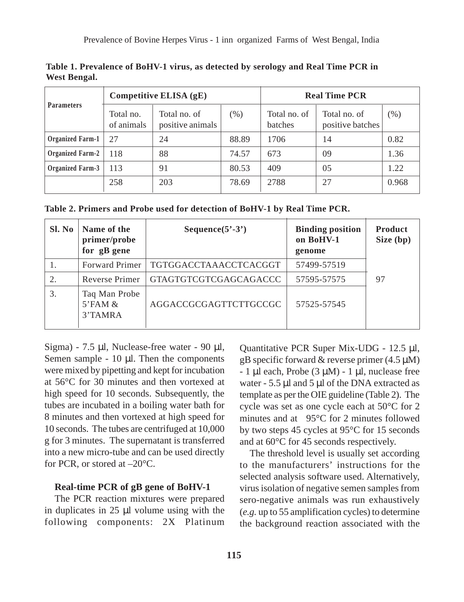**Table 1. Prevalence of BoHV-1 virus, as detected by serology and Real Time PCR in West Bengal.**

| <b>Parameters</b>       | Competitive ELISA (gE)  |                                  |       | <b>Real Time PCR</b>    |                                  |         |
|-------------------------|-------------------------|----------------------------------|-------|-------------------------|----------------------------------|---------|
|                         | Total no.<br>of animals | Total no. of<br>positive animals | (% )  | Total no. of<br>batches | Total no. of<br>positive batches | $(\% )$ |
| <b>Organized Farm-1</b> | 27                      | 24                               | 88.89 | 1706                    | 14                               | 0.82    |
| <b>Organized Farm-2</b> | 118                     | 88                               | 74.57 | 673                     | 09                               | 1.36    |
| Organized Farm-3        | 113                     | 91                               | 80.53 | 409                     | 05                               | 1.22    |
|                         | 258                     | 203                              | 78.69 | 2788                    | 27                               | 0.968   |

**Table 2. Primers and Probe used for detection of BoHV-1 by Real Time PCR.**

| Sl. No | Name of the<br>primer/probe<br>for gB gene           | Sequence $(5^3-3^3)$  | <b>Binding position</b><br>on BoHV-1<br>genome | <b>Product</b><br>Size (bp) |
|--------|------------------------------------------------------|-----------------------|------------------------------------------------|-----------------------------|
|        | <b>Forward Primer</b>                                | TGTGGACCTAAACCTCACGGT | 57499-57519                                    |                             |
| 2.     | Reverse Primer                                       | GTAGTGTCGTCGAGCAGACCC | 57595-57575                                    | 97                          |
| 3.     | Taq Man Probe<br>$5$ <sup>EAM &amp;</sup><br>3'TAMRA | AGGACCGCGAGTTCTTGCCGC | 57525-57545                                    |                             |

Sigma) - 7.5 µl, Nuclease-free water - 90 µl, Semen sample -  $10 \mu l$ . Then the components were mixed by pipetting and kept for incubation at 56°C for 30 minutes and then vortexed at high speed for 10 seconds. Subsequently, the tubes are incubated in a boiling water bath for 8 minutes and then vortexed at high speed for 10 seconds. The tubes are centrifuged at 10,000 g for 3 minutes. The supernatant is transferred into a new micro-tube and can be used directly for PCR, or stored at –20°C.

#### **Real-time PCR of gB gene of BoHV-1**

The PCR reaction mixtures were prepared in duplicates in 25 µl volume using with the following components: 2X Platinum Quantitative PCR Super Mix-UDG - 12.5 µl, gB specific forward  $&$  reverse primer (4.5  $\mu$ M)  $-1 \mu$ l each, Probe (3  $\mu$ M) - 1  $\mu$ l, nuclease free water - 5.5 µl and 5 µl of the DNA extracted as template as per the OIE guideline (Table 2). The cycle was set as one cycle each at 50°C for 2 minutes and at 95°C for 2 minutes followed by two steps 45 cycles at 95°C for 15 seconds and at 60°C for 45 seconds respectively.

The threshold level is usually set according to the manufacturers' instructions for the selected analysis software used. Alternatively, virus isolation of negative semen samples from sero-negative animals was run exhaustively (*e.g.* up to 55 amplification cycles) to determine the background reaction associated with the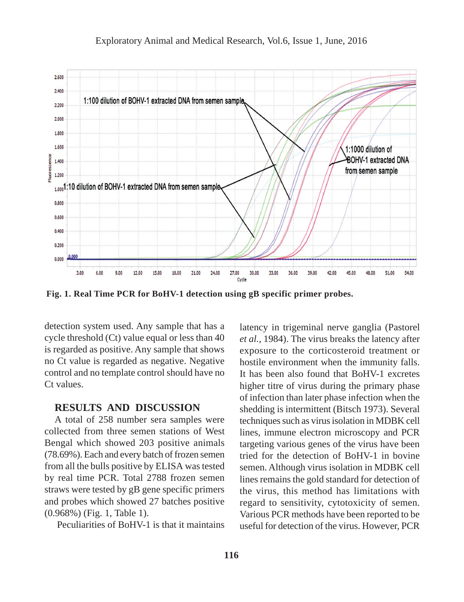

**Fig. 1. Real Time PCR for BoHV-1 detection using gB specific primer probes.**

detection system used. Any sample that has a cycle threshold (Ct) value equal or less than 40 is regarded as positive. Any sample that shows no Ct value is regarded as negative. Negative control and no template control should have no Ct values.

#### **RESULTS AND DISCUSSION**

A total of 258 number sera samples were collected from three semen stations of West Bengal which showed 203 positive animals (78.69%). Each and every batch of frozen semen from all the bulls positive by ELISA was tested by real time PCR. Total 2788 frozen semen straws were tested by gB gene specific primers and probes which showed 27 batches positive (0.968%) (Fig. 1, Table 1).

Peculiarities of BoHV-1 is that it maintains

latency in trigeminal nerve ganglia (Pastorel *et al.,* 1984). The virus breaks the latency after exposure to the corticosteroid treatment or hostile environment when the immunity falls. It has been also found that BoHV-1 excretes higher titre of virus during the primary phase of infection than later phase infection when the shedding is intermittent (Bitsch 1973). Several techniques such as virus isolation in MDBK cell lines, immune electron microscopy and PCR targeting various genes of the virus have been tried for the detection of BoHV-1 in bovine semen. Although virus isolation in MDBK cell lines remains the gold standard for detection of the virus, this method has limitations with regard to sensitivity, cytotoxicity of semen. Various PCR methods have been reported to be useful for detection of the virus. However, PCR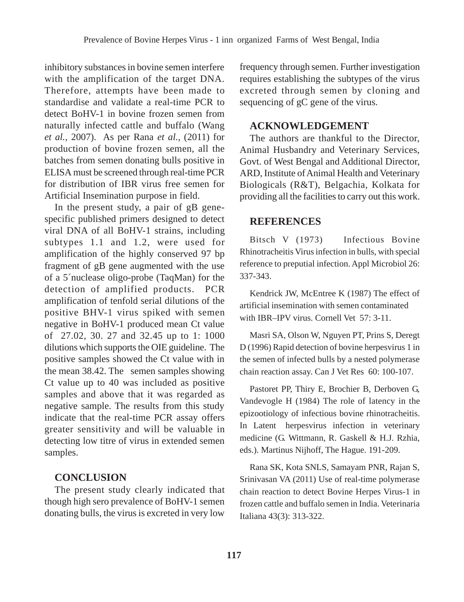inhibitory substances in bovine semen interfere with the amplification of the target DNA. Therefore, attempts have been made to standardise and validate a real-time PCR to detect BoHV-1 in bovine frozen semen from naturally infected cattle and buffalo (Wang *et al.,* 2007). As per Rana *et al.,* (2011) for production of bovine frozen semen, all the batches from semen donating bulls positive in ELISA must be screened through real-time PCR for distribution of IBR virus free semen for Artificial Insemination purpose in field.

In the present study, a pair of gB genespecific published primers designed to detect viral DNA of all BoHV-1 strains, including subtypes 1.1 and 1.2, were used for amplification of the highly conserved 97 bp fragment of gB gene augmented with the use of a 5´nuclease oligo-probe (TaqMan) for the detection of amplified products. PCR amplification of tenfold serial dilutions of the positive BHV-1 virus spiked with semen negative in BoHV-1 produced mean Ct value of 27.02, 30. 27 and 32.45 up to 1: 1000 dilutions which supports the OIE guideline. The positive samples showed the Ct value with in the mean 38.42. The semen samples showing Ct value up to 40 was included as positive samples and above that it was regarded as negative sample. The results from this study indicate that the real-time PCR assay offers greater sensitivity and will be valuable in detecting low titre of virus in extended semen samples.

#### **CONCLUSION**

The present study clearly indicated that though high sero prevalence of BoHV-1 semen donating bulls, the virus is excreted in very low frequency through semen. Further investigation requires establishing the subtypes of the virus excreted through semen by cloning and sequencing of gC gene of the virus.

#### **ACKNOWLEDGEMENT**

The authors are thankful to the Director, Animal Husbandry and Veterinary Services, Govt. of West Bengal and Additional Director, ARD, Institute of Animal Health and Veterinary Biologicals (R&T), Belgachia, Kolkata for providing all the facilities to carry out this work.

#### **REFERENCES**

Bitsch V (1973) Infectious Bovine Rhinotracheitis Virus infection in bulls, with special reference to preputial infection. Appl Microbiol 26: 337-343.

Kendrick JW, McEntree K (1987) The effect of artificial insemination with semen contaminated with IBR–IPV virus. Cornell Vet 57: 3-11.

Masri SA, Olson W, Nguyen PT, Prins S, Deregt D (1996) Rapid detection of bovine herpesvirus 1 in the semen of infected bulls by a nested polymerase chain reaction assay. Can J Vet Res 60: 100-107.

Pastoret PP, Thiry E, Brochier B, Derboven G, Vandevogle H (1984) The role of latency in the epizootiology of infectious bovine rhinotracheitis. In Latent herpesvirus infection in veterinary medicine (G. Wittmann, R. Gaskell & H.J. Rzhia, eds.). Martinus Nijhoff, The Hague. 191-209.

Rana SK, Kota SNLS, Samayam PNR, Rajan S, Srinivasan VA (2011) Use of real-time polymerase chain reaction to detect Bovine Herpes Virus-1 in frozen cattle and buffalo semen in India. Veterinaria Italiana 43(3): 313-322.